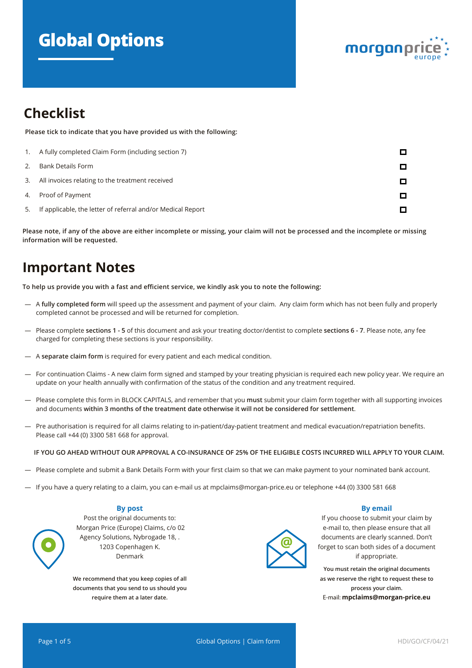# **Global Options**



## **Checklist**

**Please tick to indicate that you have provided us with the following:** 

| 1. | A fully completed Claim Form (including section 7)          |  |
|----|-------------------------------------------------------------|--|
| 2. | Bank Details Form                                           |  |
|    | 3. All invoices relating to the treatment received          |  |
|    | 4. Proof of Payment                                         |  |
| 5. | If applicable, the letter of referral and/or Medical Report |  |

**Please note, if any of the above are either incomplete or missing, your claim will not be processed and the incomplete or missing information will be requested.**

## **Important Notes**

**To help us provide you with a fast and efficient service, we kindly ask you to note the following:**

- A **fully completed form** will speed up the assessment and payment of your claim. Any claim form which has not been fully and properly completed cannot be processed and will be returned for completion.
- Please complete **sections 1 5** of this document and ask your treating doctor/dentist to complete **sections 6 7**. Please note, any fee charged for completing these sections is your responsibility.
- A **separate claim form** is required for every patient and each medical condition.
- For continuation Claims A new claim form signed and stamped by your treating physician is required each new policy year. We require an update on your health annually with confirmation of the status of the condition and any treatment required.
- Please complete this form in BLOCK CAPITALS, and remember that you **must** submit your claim form together with all supporting invoices and documents **within 3 months of the treatment date otherwise it will not be considered for settlement**.
- Pre authorisation is required for all claims relating to in-patient/day-patient treatment and medical evacuation/repatriation benefits. Please call +44 (0) 3300 581 668 for approval.

#### **IF YOU GO AHEAD WITHOUT OUR APPROVAL A CO-INSURANCE OF 25% OF THE ELIGIBLE COSTS INCURRED WILL APPLY TO YOUR CLAIM.**

- Please complete and submit a Bank Details Form with your first claim so that we can make payment to your nominated bank account.
- If you have a query relating to a claim, you can e-mail us at mpclaims@morgan-price.eu or telephone +44 (0) 3300 581 668

#### **By post**

Post the original documents to: Morgan Price (Europe) Claims, c/o 02 Agency Solutions, Nybrogade 18, . 1203 Copenhagen K. Denmark

**We recommend that you keep copies of all documents that you send to us should you require them at a later date.**



#### **By email**

If you choose to submit your claim by e-mail to, then please ensure that all documents are clearly scanned. Don't forget to scan both sides of a document if appropriate.

**You must retain the original documents as we reserve the right to request these to process your claim.** E-mail: **mpclaims@morgan-price.eu**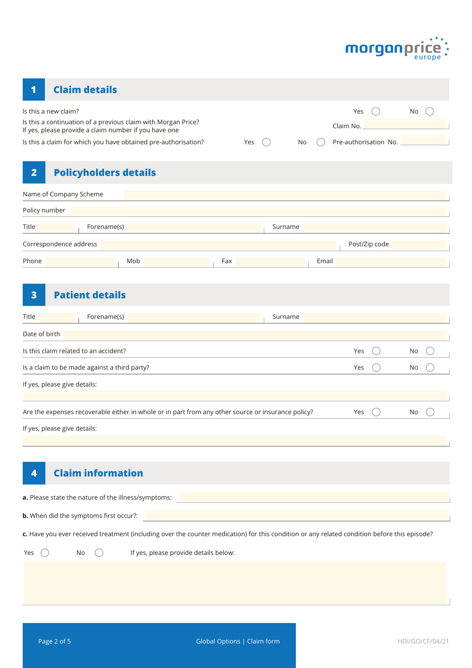

### **1 Claim details**

| Is this a new claim?<br>Is this a continuation of a previous claim with Morgan Price? |     |         |       | Yes<br>Claim No.      | No. |  |
|---------------------------------------------------------------------------------------|-----|---------|-------|-----------------------|-----|--|
| If yes, please provide a claim number if you have one                                 |     |         |       |                       |     |  |
| Is this a claim for which you have obtained pre-authorisation?                        | Yes | No      |       | Pre-authorisation No. |     |  |
| $\overline{2}$<br><b>Policyholders details</b>                                        |     |         |       |                       |     |  |
| Name of Company Scheme                                                                |     |         |       |                       |     |  |
| Policy number                                                                         |     |         |       |                       |     |  |
| Title<br>Forename(s)                                                                  |     | Surname |       |                       |     |  |
| Correspondence address                                                                |     |         |       | Post/Zip code         |     |  |
| Phone<br>Mob                                                                          | Fax |         | Email |                       |     |  |
|                                                                                       |     |         |       |                       |     |  |

### **3 Patient details**

| Title<br>Forename(s)<br>Surname                                                                    |      |    |  |
|----------------------------------------------------------------------------------------------------|------|----|--|
| Date of birth                                                                                      |      |    |  |
| Is this claim related to an accident?                                                              | Yes  | No |  |
| Is a claim to be made against a third party?                                                       | Yes  | No |  |
| If yes, please give details:                                                                       |      |    |  |
|                                                                                                    |      |    |  |
| Are the expenses recoverable either in whole or in part from any other source or insurance policy? | Yes. | No |  |
| If yes, please give details:                                                                       |      |    |  |

### **4 Claim information**

| <b>a.</b> Please state the nature of the illness/symptoms: |  |
|------------------------------------------------------------|--|
|                                                            |  |
| <b>b.</b> When did the symptoms first occur?:              |  |

**c.** Have you ever received treatment (including over the counter medication) for this condition or any related condition before this episode?

Yes  $\bigcirc$  No  $\bigcirc$  If yes, please provide details below: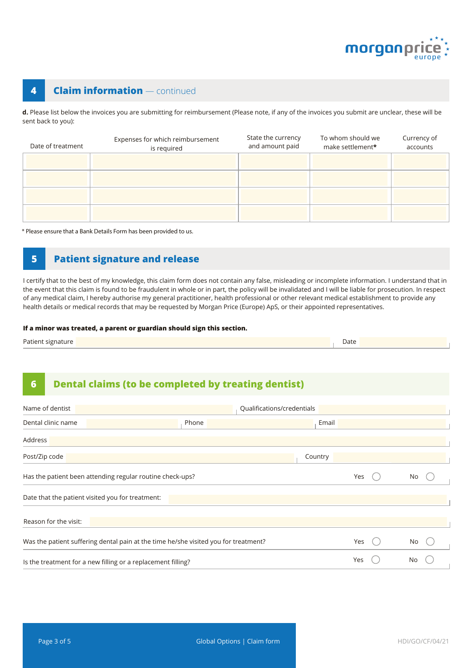

### **4 Claim information** — continued

**d.** Please list below the invoices you are submitting for reimbursement (Please note, if any of the invoices you submit are unclear, these will be sent back to you):

| Date of treatment | Expenses for which reimbursement<br>is required | State the currency<br>and amount paid | To whom should we<br>make settlement* | Currency of<br>accounts |
|-------------------|-------------------------------------------------|---------------------------------------|---------------------------------------|-------------------------|
|                   |                                                 |                                       |                                       |                         |
|                   |                                                 |                                       |                                       |                         |
|                   |                                                 |                                       |                                       |                         |
|                   |                                                 |                                       |                                       |                         |

\* Please ensure that a Bank Details Form has been provided to us.

#### **5 Patient signature and release**

I certify that to the best of my knowledge, this claim form does not contain any false, misleading or incomplete information. I understand that in the event that this claim is found to be fraudulent in whole or in part, the policy will be invalidated and I will be liable for prosecution. In respect of any medical claim, I hereby authorise my general practitioner, health professional or other relevant medical establishment to provide any health details or medical records that may be requested by Morgan Price (Europe) ApS, or their appointed representatives.

#### **If a minor was treated, a parent or guardian should sign this section.**

| Patient signature | Date |
|-------------------|------|
|-------------------|------|

### **6 Dental claims (to be completed by treating dentist)**

| Name of dentist                                              |                                                                                     | Qualifications/credentials |    |
|--------------------------------------------------------------|-------------------------------------------------------------------------------------|----------------------------|----|
| Dental clinic name                                           | Phone                                                                               | Email                      |    |
| Address                                                      |                                                                                     |                            |    |
| Post/Zip code                                                |                                                                                     | Country                    |    |
| Has the patient been attending regular routine check-ups?    |                                                                                     | Yes                        | No |
| Date that the patient visited you for treatment:             |                                                                                     |                            |    |
| Reason for the visit:                                        |                                                                                     |                            |    |
|                                                              | Was the patient suffering dental pain at the time he/she visited you for treatment? | Yes                        | No |
| Is the treatment for a new filling or a replacement filling? |                                                                                     | Yes                        | No |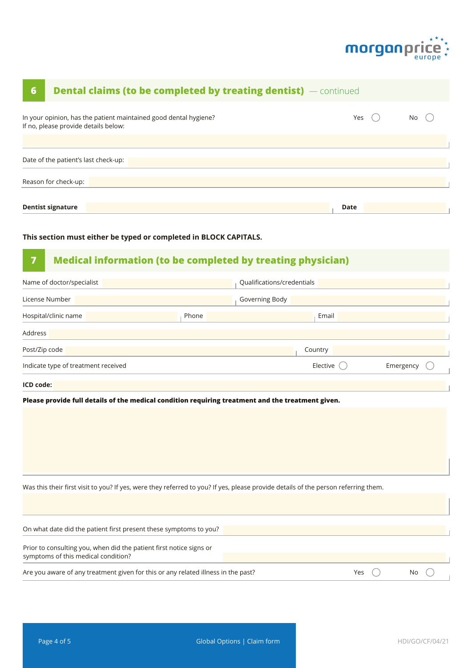

| <b>Dental claims (to be completed by treating dentist)</b> — continued<br>6                                                                  |                            |      |           |  |
|----------------------------------------------------------------------------------------------------------------------------------------------|----------------------------|------|-----------|--|
| In your opinion, has the patient maintained good dental hygiene?<br>If no, please provide details below:                                     |                            | Yes  | No        |  |
|                                                                                                                                              |                            |      |           |  |
| Date of the patient's last check-up:                                                                                                         |                            |      |           |  |
| Reason for check-up:                                                                                                                         |                            |      |           |  |
|                                                                                                                                              |                            |      |           |  |
| <b>Dentist signature</b>                                                                                                                     |                            | Date |           |  |
| This section must either be typed or completed in BLOCK CAPITALS.<br><b>Medical information (to be completed by treating physician)</b><br>7 |                            |      |           |  |
| Name of doctor/specialist                                                                                                                    | Qualifications/credentials |      |           |  |
| License Number                                                                                                                               | Governing Body             |      |           |  |
| Hospital/clinic name<br>Phone                                                                                                                | Email                      |      |           |  |
|                                                                                                                                              |                            |      |           |  |
| Address                                                                                                                                      |                            |      |           |  |
| Post/Zip code                                                                                                                                | Country                    |      |           |  |
| Indicate type of treatment received                                                                                                          | Elective                   |      | Emergency |  |
| ICD code:                                                                                                                                    |                            |      |           |  |
| Please provide full details of the medical condition requiring treatment and the treatment given.                                            |                            |      |           |  |
|                                                                                                                                              |                            |      |           |  |
|                                                                                                                                              |                            |      |           |  |
|                                                                                                                                              |                            |      |           |  |
|                                                                                                                                              |                            |      |           |  |
| Was this their first visit to you? If yes, were they referred to you? If yes, please provide details of the person referring them.           |                            |      |           |  |
|                                                                                                                                              |                            |      |           |  |
| On what date did the patient first present these symptoms to you?                                                                            |                            |      |           |  |
| Prior to consulting you, when did the patient first notice signs or<br>symptoms of this medical condition?                                   |                            |      |           |  |